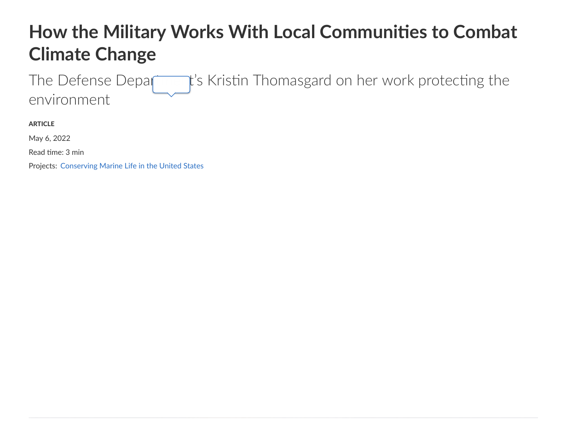# **How the Military Works With Local Communities to Combat Climate Change**

The Defense Departhul's Kristin Thomasgard on her work protecting the environment

ARTICLE

May 6, 2022

Read time: 3 min

Projects: [Conserving](https://www.pewtrusts.org/en/projects/conserving-marine-life-in-the-united-states) Marine Life in the United States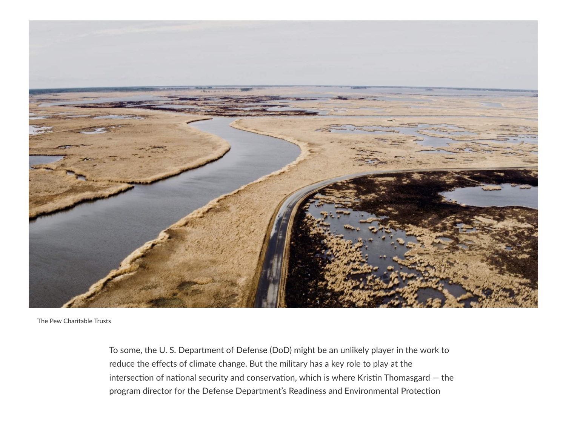

The Pew Charitable Trusts

To some, the U. S. Department of Defense (DoD) might be an unlikely player in the work to reduce the effects of climate change. But the military has a key role to play at the intersection of national security and conservation, which is where Kristin Thomasgard — the program director for the Defense Department's Readiness and Environmental Protection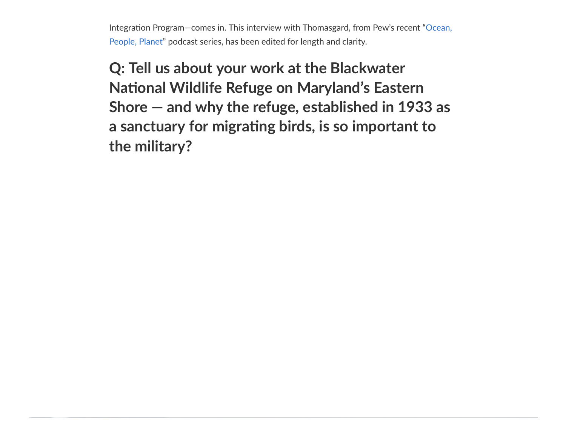Integration [Program—comes](https://www.pewtrusts.org/en/campaigns/2022/ocean-people-planet) in. This interview with Thomasgard, from Pew's recent "Ocean, People, Planet" podcast series, has been edited for length and clarity.

**Q: Tell us about your work at the Blackwater National Wildlife Refuge on Maryland's Eastern Shore — and why the refuge, established in 1933 as a sanctuary for migrating birds, is so important to the military?**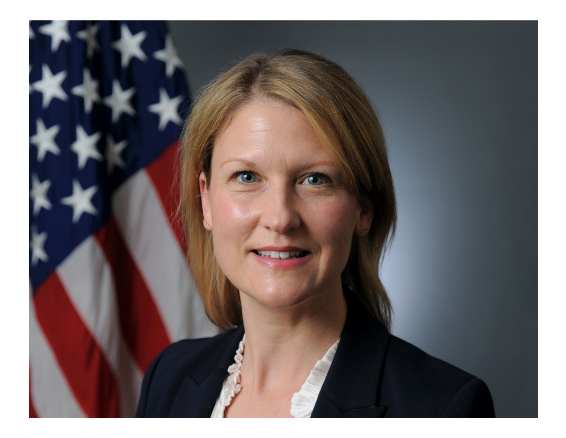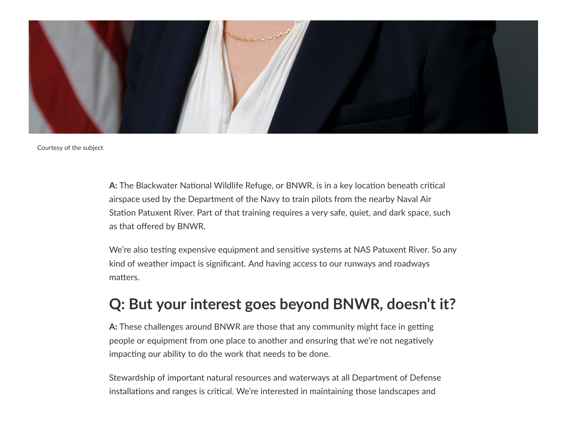

Courtesy of the subject

**A:** The Blackwater National Wildlife Refuge, or BNWR, is in a key location beneath critical airspace used by the Department of the Navy to train pilots from the nearby Naval Air Station Patuxent River. Part of that training requires a very safe, quiet, and dark space, such as that offered by BNWR.

We're also testing expensive equipment and sensitive systems at NAS Patuxent River. So any kind of weather impact is significant. And having access to our runways and roadways matters.

### **Q: But your interest goes beyond BNWR, doesn't it?**

**A:** These challenges around BNWR are those that any community might face in getting people or equipment from one place to another and ensuring that we're not negatively impacting our ability to do the work that needs to be done.

Stewardship of important natural resources and waterways at all Department of Defense installations and ranges is critical. We're interested in maintaining those landscapes and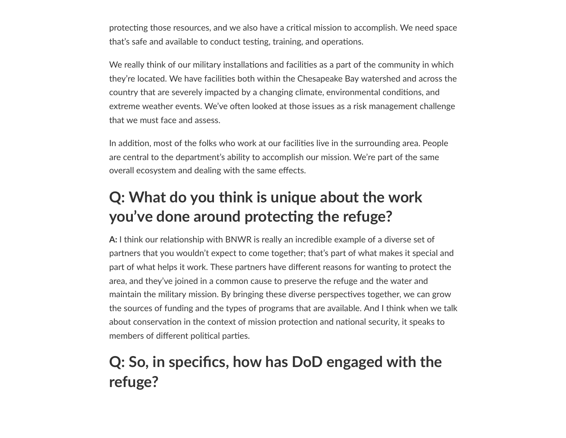protecting those resources, and we also have a critical mission to accomplish. We need space that's safe and available to conduct testing, training, and operations.

We really think of our military installations and facilities as a part of the community in which they're located. We have facilities both within the Chesapeake Bay watershed and across the country that are severely impacted by a changing climate, environmental conditions, and extreme weather events. We've often looked at those issues as a risk management challenge that we must face and assess.

In addition, most of the folks who work at our facilities live in the surrounding area. People are central to the department's ability to accomplish our mission. We're part of the same overall ecosystem and dealing with the same effects.

### **Q: What do you think is unique about the work you've done around protecting the refuge?**

**A:** I think our relationship with BNWR is really an incredible example of a diverse set of partners that you wouldn't expect to come together; that's part of what makes it special and part of what helps it work. These partners have different reasons for wanting to protect the area, and they've joined in a common cause to preserve the refuge and the water and maintain the military mission. By bringing these diverse perspectives together, we can grow the sources of funding and the types of programs that are available. And I think when we talk about conservation in the context of mission protection and national security, it speaks to members of different political parties.

## **Q: So, in specifics, how has DoD engaged with the refuge?**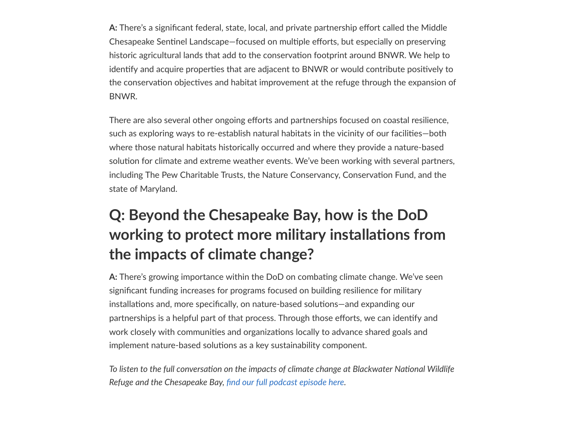**A:** There's a significant federal, state, local, and private partnership effort called the Middle Chesapeake Sentinel Landscape—focused on multiple efforts, but especially on preserving historic agricultural lands that add to the conservation footprint around BNWR. We help to identify and acquire properties that are adjacent to BNWR or would contribute positively to the conservation objectives and habitat improvement at the refuge through the expansion of BNWR.

There are also several other ongoing efforts and partnerships focused on coastal resilience, such as exploring ways to re-establish natural habitats in the vicinity of our facilities—both where those natural habitats historically occurred and where they provide a nature-based solution for climate and extreme weather events. We've been working with several partners, including The Pew Charitable Trusts, the Nature Conservancy, Conservation Fund, and the state of Maryland.

### **Q: Beyond the Chesapeake Bay, how is the DoD working to protect more military installations from the impacts of climate change?**

**A:** There's growing importance within the DoD on combating climate change. We've seen significant funding increases for programs focused on building resilience for military installations and, more specifically, on nature-based solutions—and expanding our partnerships is a helpful part of that process. Through those efforts, we can identify and work closely with communities and organizations locally to advance shared goals and implement nature-based solutions as a key sustainability component.

*To listen to the full conversation on the impacts of climate change at Blackwater National Wildlife Refuge and the Chesapeake Bay, find our full [podcast](https://www.pewtrusts.org/en/research-and-analysis/articles/2022/05/06/ocean-people-planet-a-wildlife-refuge-on-the-brink) episode here.*